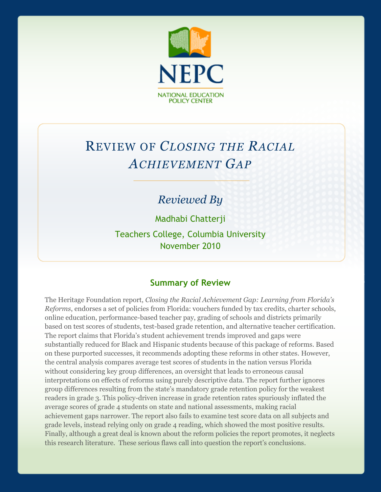

# REVIEW OF *CLOSING THE RACIAL ACHIEVEMENT GAP*

# *Reviewed By*

Madhabi Chatterji

Teachers College, Columbia University November 2010

### **Summary of Review**

The Heritage Foundation report, *Closing the Racial Achievement Gap: Learning from Florida's Reforms*, endorses a set of policies from Florida: vouchers funded by tax credits, charter schools, online education, performance-based teacher pay, grading of schools and districts primarily based on test scores of students, test-based grade retention, and alternative teacher certification. The report claims that Florida's student achievement trends improved and gaps were substantially reduced for Black and Hispanic students because of this package of reforms. Based on these purported successes, it recommends adopting these reforms in other states. However, the central analysis compares average test scores of students in the nation versus Florida without considering key group differences, an oversight that leads to erroneous causal interpretations on effects of reforms using purely descriptive data. The report further ignores group differences resulting from the state's mandatory grade retention policy for the weakest readers in grade 3. This policy-driven increase in grade retention rates spuriously inflated the average scores of grade 4 students on state and national assessments, making racial achievement gaps narrower. The report also fails to examine test score data on all subjects and grade levels, instead relying only on grade 4 reading, which showed the most positive results. Finally, although a great deal is known about the reform policies the report promotes, it neglects this research literature. These serious flaws call into question the report's conclusions.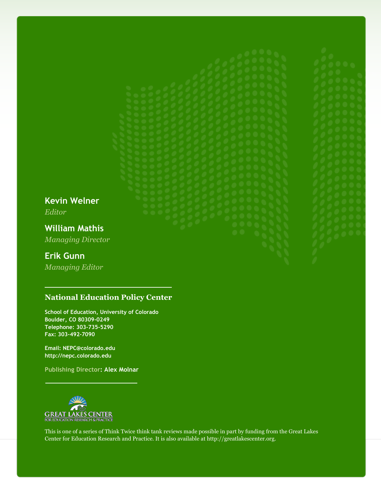**Kevin Welner** *Editor*

**William Mathis** *Managing Director*

### **Erik Gunn**

*Managing Editor*

#### **National Education Policy Center**

**School of Education, University of Colorado Boulder, CO 80309-0249 Telephone: 303-735-5290 Fax: 303-492-7090**

**Email: NEPC@colorado.edu http://nepc.colorado.edu**

**Publishing Director: Alex Molnar**



This is one of a series of Think Twice think tank reviews made possible in part by funding from the Great Lakes Center for Education Research and Practice. It is also available at http://greatlakescenter.org.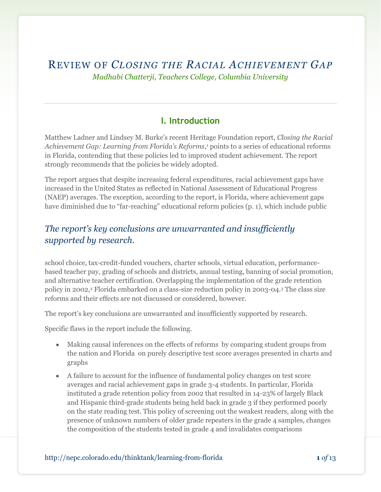REVIEW OF *CLOSING THE RACIAL ACHIEVEMENT GAP Madhabi Chatterji, Teachers College, Columbia University*

### **I. Introduction**

Matthew Ladner and Lindsey M. Burke's recent Heritage Foundation report, *Closing the Racial Achievement Gap: Learning from Florida's Reforms*, <sup>1</sup> points to a series of educational reforms in Florida, contending that these policies led to improved student achievement. The report strongly recommends that the policies be widely adopted.

The report argues that despite increasing federal expenditures, racial achievement gaps have increased in the United States as reflected in National Assessment of Educational Progress (NAEP) averages. The exception, according to the report, is Florida, where achievement gaps have diminished due to "far-reaching" educational reform policies (p. 1), which include public

# *The report's key conclusions are unwarranted and insufficiently supported by research.*

school choice, tax-credit-funded vouchers, charter schools, virtual education, performancebased teacher pay, grading of schools and districts, annual testing, banning of social promotion, and alternative teacher certification. Overlapping the implementation of the grade retention policy in 2002,<sup>2</sup> Florida embarked on a class-size reduction policy in 2003-04.<sup>3</sup> The class size reforms and their effects are not discussed or considered, however.

The report's key conclusions are unwarranted and insufficiently supported by research.

Specific flaws in the report include the following.

- Making causal inferences on the effects of reforms by comparing student groups from the nation and Florida on purely descriptive test score averages presented in charts and graphs
- A failure to account for the influence of fundamental policy changes on test score averages and racial achievement gaps in grade 3-4 students. In particular, Florida instituted a grade retention policy from 2002 that resulted in 14-23% of largely Black and Hispanic third-grade students being held back in grade 3 if they performed poorly on the state reading test. This policy of screening out the weakest readers, along with the presence of unknown numbers of older grade repeaters in the grade 4 samples, changes the composition of the students tested in grade 4 and invalidates comparisons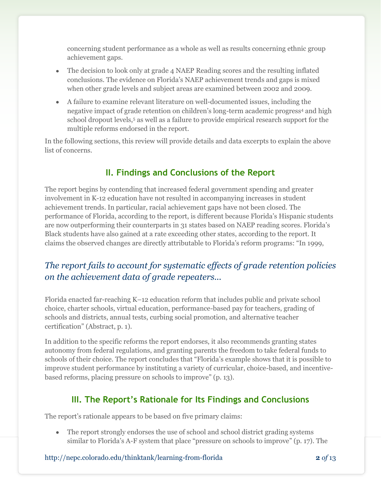concerning student performance as a whole as well as results concerning ethnic group achievement gaps.

- The decision to look only at grade 4 NAEP Reading scores and the resulting inflated conclusions. The evidence on Florida's NAEP achievement trends and gaps is mixed when other grade levels and subject areas are examined between 2002 and 2009.
- A failure to examine relevant literature on well-documented issues, including the negative impact of grade retention on children's long-term academic progress<sup>4</sup> and high school dropout levels,<sup>5</sup> as well as a failure to provide empirical research support for the multiple reforms endorsed in the report.

In the following sections, this review will provide details and data excerpts to explain the above list of concerns.

# **II. Findings and Conclusions of the Report**

The report begins by contending that increased federal government spending and greater involvement in K-12 education have not resulted in accompanying increases in student achievement trends. In particular, racial achievement gaps have not been closed. The performance of Florida, according to the report, is different because Florida's Hispanic students are now outperforming their counterparts in 31 states based on NAEP reading scores. Florida's Black students have also gained at a rate exceeding other states, according to the report. It claims the observed changes are directly attributable to Florida's reform programs: "In 1999,

# *The report fails to account for systematic effects of grade retention policies on the achievement data of grade repeaters...*

Florida enacted far-reaching K–12 education reform that includes public and private school choice, charter schools, virtual education, performance-based pay for teachers, grading of schools and districts, annual tests, curbing social promotion, and alternative teacher certification" (Abstract, p. 1).

In addition to the specific reforms the report endorses, it also recommends granting states autonomy from federal regulations, and granting parents the freedom to take federal funds to schools of their choice. The report concludes that "Florida's example shows that it is possible to improve student performance by instituting a variety of curricular, choice-based, and incentivebased reforms, placing pressure on schools to improve" (p. 13).

# **III. The Report's Rationale for Its Findings and Conclusions**

The report's rationale appears to be based on five primary claims:

The report strongly endorses the use of school and school district grading systems similar to Florida's A-F system that place "pressure on schools to improve"  $(p, 17)$ . The

http://nepc.colorado.edu/thinktank/learning-from-florida **2** *of* 13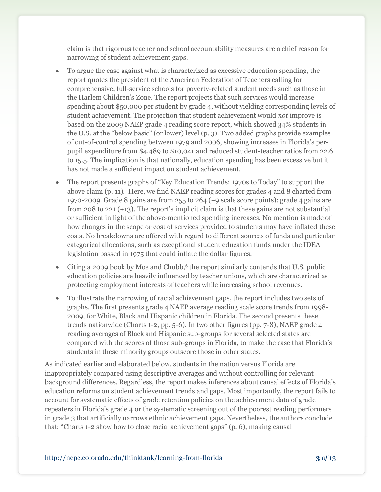claim is that rigorous teacher and school accountability measures are a chief reason for narrowing of student achievement gaps.

- To argue the case against what is characterized as excessive education spending, the report quotes the president of the American Federation of Teachers calling for comprehensive, full-service schools for poverty-related student needs such as those in the Harlem Children's Zone. The report projects that such services would increase spending about \$50,000 per student by grade 4, without yielding corresponding levels of student achievement. The projection that student achievement would *not* improve is based on the 2009 NAEP grade 4 reading score report, which showed 34% students in the U.S. at the "below basic" (or lower) level (p. 3). Two added graphs provide examples of out-of-control spending between 1979 and 2006, showing increases in Florida's perpupil expenditure from \$4,489 to \$10,041 and reduced student-teacher ratios from 22.6 to 15.5. The implication is that nationally, education spending has been excessive but it has not made a sufficient impact on student achievement.
- The report presents graphs of "Key Education Trends: 1970s to Today" to support the above claim (p. 11). Here, we find NAEP reading scores for grades 4 and 8 charted from 1970-2009. Grade 8 gains are from 255 to 264 (+9 scale score points); grade 4 gains are from 208 to 221 (+13). The report's implicit claim is that these gains are not substantial or sufficient in light of the above-mentioned spending increases. No mention is made of how changes in the scope or cost of services provided to students may have inflated these costs. No breakdowns are offered with regard to different sources of funds and particular categorical allocations, such as exceptional student education funds under the IDEA legislation passed in 1975 that could inflate the dollar figures.
- Citing a 2009 book by Moe and Chubb,<sup>6</sup> the report similarly contends that U.S. public education policies are heavily influenced by teacher unions, which are characterized as protecting employment interests of teachers while increasing school revenues.
- To illustrate the narrowing of racial achievement gaps, the report includes two sets of graphs. The first presents grade 4 NAEP average reading scale score trends from 1998- 2009, for White, Black and Hispanic children in Florida. The second presents these trends nationwide (Charts 1-2, pp. 5-6). In two other figures (pp. 7-8), NAEP grade 4 reading averages of Black and Hispanic sub-groups for several selected states are compared with the scores of those sub-groups in Florida, to make the case that Florida's students in these minority groups outscore those in other states.

As indicated earlier and elaborated below, students in the nation versus Florida are inappropriately compared using descriptive averages and without controlling for relevant background differences. Regardless, the report makes inferences about causal effects of Florida's education reforms on student achievement trends and gaps. Most importantly, the report fails to account for systematic effects of grade retention policies on the achievement data of grade repeaters in Florida's grade 4 or the systematic screening out of the poorest reading performers in grade 3 that artificially narrows ethnic achievement gaps. Nevertheless, the authors conclude that: "Charts 1-2 show how to close racial achievement gaps" (p. 6), making causal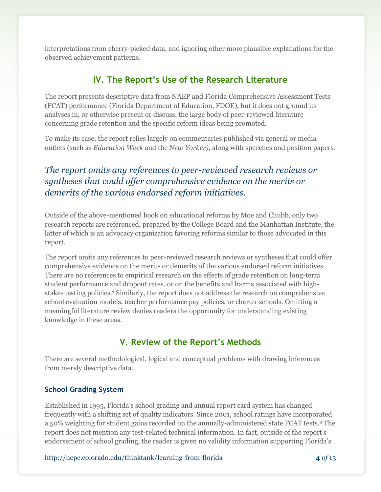interpretations from cherry-picked data, and ignoring other more plausible explanations for the observed achievement patterns.

# **IV. The Report's Use of the Research Literature**

The report presents descriptive data from NAEP and Florida Comprehensive Assessment Tests (FCAT) performance (Florida Department of Education, FDOE), but it does not ground its analyses in, or otherwise present or discuss, the large body of peer-reviewed literature concerning grade retention and the specific reform ideas being promoted.

To make its case, the report relies largely on commentaries published via general or media outlets (such as *Education Week* and the *New Yorker),* along with speeches and position papers.

# *The report omits any references to peer-reviewed research reviews or syntheses that could offer comprehensive evidence on the merits or demerits of the various endorsed reform initiatives.*

Outside of the above-mentioned book on educational reforms by Moe and Chubb, only two research reports are referenced, prepared by the College Board and the Manhattan Institute, the latter of which is an advocacy organization favoring reforms similar to those advocated in this report.

The report omits any references to peer-reviewed research reviews or syntheses that could offer comprehensive evidence on the merits or demerits of the various endorsed reform initiatives. There are no references to empirical research on the effects of grade retention on long-term student performance and dropout rates, or on the benefits and harms associated with highstakes testing policies.<sup>7</sup> Similarly, the report does not address the research on comprehensive school evaluation models, teacher performance pay policies, or charter schools. Omitting a meaningful literature review denies readers the opportunity for understanding existing knowledge in these areas.

# **V. Review of the Report's Methods**

There are several methodological, logical and conceptual problems with drawing inferences from merely descriptive data.

#### **School Grading System**

Established in 1995, Florida's school grading and annual report card system has changed frequently with a shifting set of quality indicators. Since 2001, school ratings have incorporated a 50% weighting for student gains recorded on the annually-administered state FCAT tests.<sup>8</sup> The report does not mention any test-related technical information. In fact, outside of the report's endorsement of school grading, the reader is given no validity information supporting Florida's

http://nepc.colorado.edu/thinktank/learning-from-florida **4** *of* 13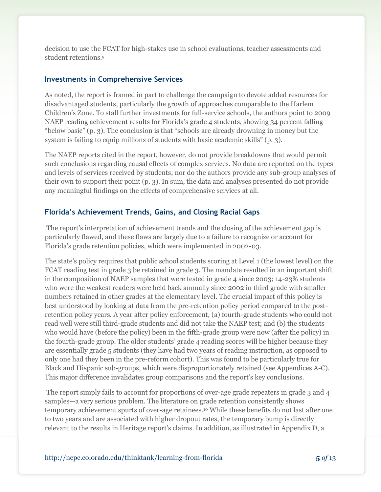decision to use the FCAT for high-stakes use in school evaluations, teacher assessments and student retentions.<sup>9</sup>

#### **Investments in Comprehensive Services**

As noted, the report is framed in part to challenge the campaign to devote added resources for disadvantaged students, particularly the growth of approaches comparable to the Harlem Children's Zone. To stall further investments for full-service schools, the authors point to 2009 NAEP reading achievement results for Florida's grade 4 students, showing 34 percent falling "below basic" (p. 3). The conclusion is that "schools are already drowning in money but the system is failing to equip millions of students with basic academic skills" (p. 3).

The NAEP reports cited in the report, however, do not provide breakdowns that would permit such conclusions regarding causal effects of complex services. No data are reported on the types and levels of services received by students; nor do the authors provide any sub-group analyses of their own to support their point (p. 3). In sum, the data and analyses presented do not provide any meaningful findings on the effects of comprehensive services at all.

#### **Florida's Achievement Trends, Gains, and Closing Racial Gaps**

The report's interpretation of achievement trends and the closing of the achievement gap is particularly flawed, and these flaws are largely due to a failure to recognize or account for Florida's grade retention policies, which were implemented in 2002-03.

The state's policy requires that public school students scoring at Level 1 (the lowest level) on the FCAT reading test in grade 3 be retained in grade 3. The mandate resulted in an important shift in the composition of NAEP samples that were tested in grade 4 since 2003; 14-23% students who were the weakest readers were held back annually since 2002 in third grade with smaller numbers retained in other grades at the elementary level. The crucial impact of this policy is best understood by looking at data from the pre-retention policy period compared to the postretention policy years. A year after policy enforcement, (a) fourth-grade students who could not read well were still third-grade students and did not take the NAEP test; and (b) the students who would have (before the policy) been in the fifth-grade group were now (after the policy) in the fourth-grade group. The older students' grade 4 reading scores will be higher because they are essentially grade 5 students (they have had two years of reading instruction, as opposed to only one had they been in the pre-reform cohort). This was found to be particularly true for Black and Hispanic sub-groups, which were disproportionately retained (see Appendices A-C). This major difference invalidates group comparisons and the report's key conclusions.

The report simply fails to account for proportions of over-age grade repeaters in grade 3 and 4 samples—a very serious problem. The literature on grade retention consistently shows temporary achievement spurts of over-age retainees.<sup>10</sup> While these benefits do not last after one to two years and are associated with higher dropout rates, the temporary bump is directly relevant to the results in Heritage report's claims. In addition, as illustrated in Appendix D, a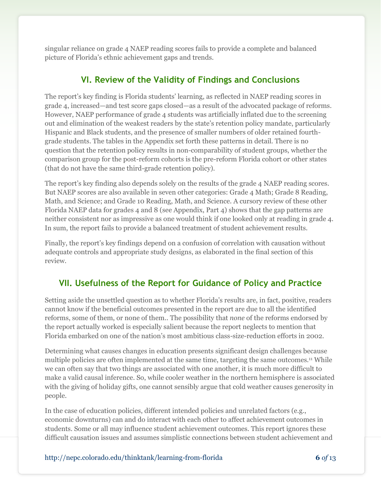singular reliance on grade 4 NAEP reading scores fails to provide a complete and balanced picture of Florida's ethnic achievement gaps and trends.

# **VI. Review of the Validity of Findings and Conclusions**

The report's key finding is Florida students' learning, as reflected in NAEP reading scores in grade 4, increased—and test score gaps closed—as a result of the advocated package of reforms. However, NAEP performance of grade 4 students was artificially inflated due to the screening out and elimination of the weakest readers by the state's retention policy mandate, particularly Hispanic and Black students, and the presence of smaller numbers of older retained fourthgrade students. The tables in the Appendix set forth these patterns in detail. There is no question that the retention policy results in non-comparability of student groups, whether the comparison group for the post-reform cohorts is the pre-reform Florida cohort or other states (that do not have the same third-grade retention policy).

The report's key finding also depends solely on the results of the grade 4 NAEP reading scores. But NAEP scores are also available in seven other categories: Grade 4 Math; Grade 8 Reading, Math, and Science; and Grade 10 Reading, Math, and Science. A cursory review of these other Florida NAEP data for grades 4 and 8 (see Appendix, Part 4) shows that the gap patterns are neither consistent nor as impressive as one would think if one looked only at reading in grade 4. In sum, the report fails to provide a balanced treatment of student achievement results.

Finally, the report's key findings depend on a confusion of correlation with causation without adequate controls and appropriate study designs, as elaborated in the final section of this review.

# **VII. Usefulness of the Report for Guidance of Policy and Practice**

Setting aside the unsettled question as to whether Florida's results are, in fact, positive, readers cannot know if the beneficial outcomes presented in the report are due to all the identified reforms, some of them, or none of them.. The possibility that *none* of the reforms endorsed by the report actually worked is especially salient because the report neglects to mention that Florida embarked on one of the nation's most ambitious class-size-reduction efforts in 2002.

Determining what causes changes in education presents significant design challenges because multiple policies are often implemented at the same time, targeting the same outcomes.<sup>11</sup> While we can often say that two things are associated with one another, it is much more difficult to make a valid causal inference. So, while cooler weather in the northern hemisphere is associated with the giving of holiday gifts, one cannot sensibly argue that cold weather causes generosity in people.

In the case of education policies, different intended policies and unrelated factors (e.g., economic downturns) can and do interact with each other to affect achievement outcomes in students. Some or all may influence student achievement outcomes. This report ignores these difficult causation issues and assumes simplistic connections between student achievement and

http://nepc.colorado.edu/thinktank/learning-from-florida **6** *of* 13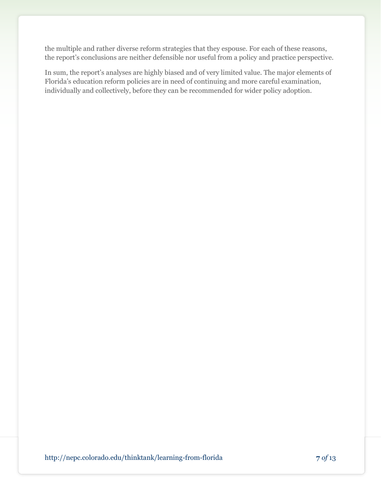the multiple and rather diverse reform strategies that they espouse. For each of these reasons, the report's conclusions are neither defensible nor useful from a policy and practice perspective.

In sum, the report's analyses are highly biased and of very limited value. The major elements of Florida's education reform policies are in need of continuing and more careful examination, individually and collectively, before they can be recommended for wider policy adoption.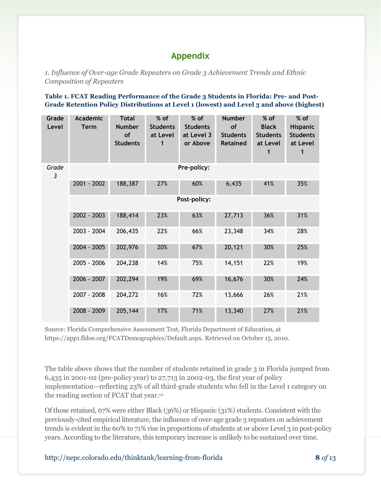### **Appendix**

*1. Influence of Over-age Grade Repeaters on Grade 3 Achievement Trends and Ethnic Composition of Repeaters*

#### **Table 1. FCAT Reading Performance of the Grade 3 Students in Florida: Pre- and Post-Grade Retention Policy Distributions at Level 1 (lowest) and Level 3 and above (highest)**

| Grade<br>Level          | <b>Academic</b><br><b>Term</b> | <b>Total</b><br><b>Number</b><br>of<br><b>Students</b> | % of<br><b>Students</b><br>at Level<br>1 | % of<br><b>Students</b><br>at Level 3<br>or Above | <b>Number</b><br>of<br><b>Students</b><br><b>Retained</b> | $%$ of<br><b>Black</b><br><b>Students</b><br>at Level | % of<br>Hispanic<br><b>Students</b><br>at Level<br>1 |  |  |  |  |
|-------------------------|--------------------------------|--------------------------------------------------------|------------------------------------------|---------------------------------------------------|-----------------------------------------------------------|-------------------------------------------------------|------------------------------------------------------|--|--|--|--|
| Grade<br>$\mathfrak{Z}$ | Pre-policy:                    |                                                        |                                          |                                                   |                                                           |                                                       |                                                      |  |  |  |  |
|                         | 2001 - 2002                    | 188,387                                                | 27%                                      | 60%                                               | 6,435                                                     | 41%                                                   | 35%                                                  |  |  |  |  |
|                         | Post-policy:                   |                                                        |                                          |                                                   |                                                           |                                                       |                                                      |  |  |  |  |
|                         | 2002 - 2003                    | 188,414                                                | 23%                                      | 63%                                               | 27,713                                                    | 36%                                                   | 31%                                                  |  |  |  |  |
|                         | 2003 - 2004                    | 206,435                                                | 22%                                      | 66%                                               | 23,348                                                    | 34%                                                   | 28%                                                  |  |  |  |  |
|                         | 2004 - 2005                    | 202,976                                                | 20%                                      | 67%                                               | 20,121                                                    | 30%                                                   | 25%                                                  |  |  |  |  |
|                         | 2005 - 2006                    | 204,238                                                | 14%                                      | 75%                                               | 14,151                                                    | 22%                                                   | 19%                                                  |  |  |  |  |
|                         | 2006 - 2007                    | 202,294                                                | 19%                                      | 69%                                               | 16,676                                                    | 30%                                                   | 24%                                                  |  |  |  |  |
|                         | 2007 - 2008                    | 204,272                                                | 16%                                      | 72%                                               | 13,666                                                    | 26%                                                   | 21%                                                  |  |  |  |  |
|                         | 2008 - 2009                    | 205,144                                                | 17%                                      | 71%                                               | 13,340                                                    | 27%                                                   | 21%                                                  |  |  |  |  |

Source: Florida Comprehensive Assessment Test, Florida Department of Education, at https://app1.fldoe.org/FCATDemographics/Default.aspx. Retrieved on October 15, 2010.

The table above shows that the number of students retained in grade 3 in Florida jumped from 6,435 in 2001-02 (pre-policy year) to 27,713 in 2002-03, the first year of policy implementation—reflecting 23% of all third-grade students who fell in the Level 1 category on the reading section of FCAT that year.<sup>12</sup>

Of those retained, 67% were either Black (36%) or Hispanic (31%) students. Consistent with the previously-cited empirical literature, the influence of over-age grade 3 repeaters on achievement trends is evident in the 60% to 71% rise in proportions of students at or above Level 3 in post-policy years. According to the literature, this temporary increase is unlikely to be sustained over time.

http://nepc.colorado.edu/thinktank/learning-from-florida **8** *of* 13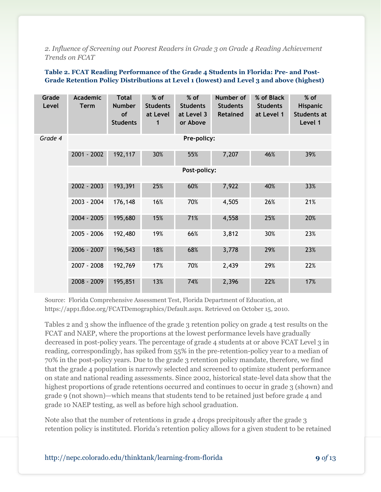*2. Influence of Screening out Poorest Readers in Grade 3 on Grade 4 Reading Achievement Trends on FCAT*

#### **Table 2. FCAT Reading Performance of the Grade 4 Students in Florida: Pre- and Post-Grade Retention Policy Distributions at Level 1 (lowest) and Level 3 and above (highest)**

| Grade<br>Level | <b>Academic</b><br><b>Term</b> | <b>Total</b><br><b>Number</b><br><b>of</b><br><b>Students</b> | % of<br><b>Students</b><br>at Level<br>1 | % of<br><b>Students</b><br>at Level 3<br>or Above | Number of<br><b>Students</b><br><b>Retained</b> | % of Black<br><b>Students</b><br>at Level 1 | % of<br><b>Hispanic</b><br>Students at<br>Level 1 |  |  |  |  |
|----------------|--------------------------------|---------------------------------------------------------------|------------------------------------------|---------------------------------------------------|-------------------------------------------------|---------------------------------------------|---------------------------------------------------|--|--|--|--|
| Grade 4        | Pre-policy:                    |                                                               |                                          |                                                   |                                                 |                                             |                                                   |  |  |  |  |
|                | 2001 - 2002                    | 192,117                                                       | 30%                                      | 55%                                               | 7,207                                           | 46%                                         | 39%                                               |  |  |  |  |
|                | Post-policy:                   |                                                               |                                          |                                                   |                                                 |                                             |                                                   |  |  |  |  |
|                | 2002 - 2003                    | 193,391                                                       | 25%                                      | 60%                                               | 7,922                                           | 40%                                         | 33%                                               |  |  |  |  |
|                | 2003 - 2004                    | 176,148                                                       | 16%                                      | 70%                                               | 4,505                                           | 26%                                         | 21%                                               |  |  |  |  |
|                | 2004 - 2005                    | 195,680                                                       | 15%                                      | 71%                                               | 4,558                                           | 25%                                         | 20%                                               |  |  |  |  |
|                | 2005 - 2006                    | 192,480                                                       | 19%                                      | 66%                                               | 3,812                                           | 30%                                         | 23%                                               |  |  |  |  |
|                | 2006 - 2007                    | 196,543                                                       | 18%                                      | 68%                                               | 3,778                                           | 29%                                         | 23%                                               |  |  |  |  |
|                | 2007 - 2008                    | 192,769                                                       | 17%                                      | 70%                                               | 2,439                                           | 29%                                         | 22%                                               |  |  |  |  |
|                | 2008 - 2009                    | 195,851                                                       | 13%                                      | 74%                                               | 2,396                                           | 22%                                         | 17%                                               |  |  |  |  |

Source: Florida Comprehensive Assessment Test, Florida Department of Education, at https://app1.fldoe.org/FCATDemographics/Default.aspx. Retrieved on October 15, 2010.

Tables 2 and 3 show the influence of the grade 3 retention policy on grade 4 test results on the FCAT and NAEP, where the proportions at the lowest performance levels have gradually decreased in post-policy years. The percentage of grade 4 students at or above FCAT Level 3 in reading, correspondingly, has spiked from 55% in the pre-retention-policy year to a median of 70% in the post-policy years. Due to the grade 3 retention policy mandate, therefore, we find that the grade 4 population is narrowly selected and screened to optimize student performance on state and national reading assessments. Since 2002, historical state-level data show that the highest proportions of grade retentions occurred and continues to occur in grade 3 (shown) and grade 9 (not shown)—which means that students tend to be retained just before grade 4 and grade 10 NAEP testing, as well as before high school graduation.

Note also that the number of retentions in grade 4 drops precipitously after the grade 3 retention policy is instituted. Florida's retention policy allows for a given student to be retained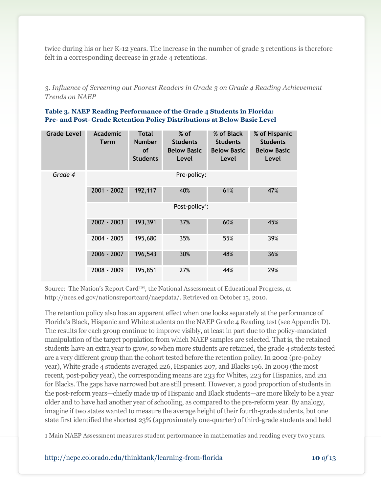twice during his or her K-12 years. The increase in the number of grade 3 retentions is therefore felt in a corresponding decrease in grade 4 retentions.

*3. Influence of Screening out Poorest Readers in Grade 3 on Grade 4 Reading Achievement Trends on NAEP*

| Table 3. NAEP Reading Performance of the Grade 4 Students in Florida:    |
|--------------------------------------------------------------------------|
| Pre- and Post- Grade Retention Policy Distributions at Below Basic Level |

| <b>Grade Level</b> | Academic<br><b>Term</b>    | <b>Total</b><br><b>Number</b><br><b>of</b><br><b>Students</b> | $%$ of<br><b>Students</b><br><b>Below Basic</b><br>Level | % of Black<br><b>Students</b><br><b>Below Basic</b><br>Level | % of Hispanic<br><b>Students</b><br><b>Below Basic</b><br>Level |  |  |  |  |  |
|--------------------|----------------------------|---------------------------------------------------------------|----------------------------------------------------------|--------------------------------------------------------------|-----------------------------------------------------------------|--|--|--|--|--|
| Grade 4            | Pre-policy:                |                                                               |                                                          |                                                              |                                                                 |  |  |  |  |  |
|                    | 2001 - 2002                | 192,117                                                       | 40%                                                      | 61%                                                          | 47%                                                             |  |  |  |  |  |
|                    | Post-policy <sup>1</sup> : |                                                               |                                                          |                                                              |                                                                 |  |  |  |  |  |
|                    | 2002 - 2003                | 193,391                                                       | 37%                                                      | 60%                                                          | 45%                                                             |  |  |  |  |  |
|                    | 2004 - 2005                | 195,680                                                       | 35%                                                      | 55%                                                          | 39%                                                             |  |  |  |  |  |
|                    | 2006 - 2007                | 196,543                                                       | 30%                                                      | 48%                                                          | 36%                                                             |  |  |  |  |  |
|                    | 2008 - 2009                | 195,851                                                       | 27%                                                      | 44%                                                          | 29%                                                             |  |  |  |  |  |

Source: The Nation's Report CardTM, the National Assessment of Educational Progress, at http://nces.ed.gov/nationsreportcard/naepdata/. Retrieved on October 15, 2010.

The retention policy also has an apparent effect when one looks separately at the performance of Florida's Black, Hispanic and White students on the NAEP Grade 4 Reading test (see Appendix D). The results for each group continue to improve visibly, at least in part due to the policy-mandated manipulation of the target population from which NAEP samples are selected. That is, the retained students have an extra year to grow, so when more students are retained, the grade 4 students tested are a very different group than the cohort tested before the retention policy. In 2002 (pre-policy year), White grade 4 students averaged 226, Hispanics 207, and Blacks 196. In 2009 (the most recent, post-policy year), the corresponding means are 233 for Whites, 223 for Hispanics, and 211 for Blacks. The gaps have narrowed but are still present. However, a good proportion of students in the post-reform years—chiefly made up of Hispanic and Black students—are more likely to be a year older and to have had another year of schooling, as compared to the pre-reform year. By analogy, imagine if two states wanted to measure the average height of their fourth-grade students, but one state first identified the shortest 23% (approximately one-quarter) of third-grade students and held  $\overline{\phantom{a}}$ 

<sup>1</sup> Main NAEP Assessment measures student performance in mathematics and reading every two years.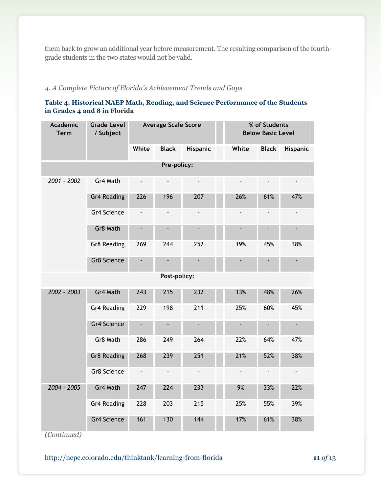them back to grow an additional year before measurement. The resulting comparison of the fourthgrade students in the two states would not be valid.

#### *4. A Complete Picture of Florida's Achievement Trends and Gaps*

#### **Table 4. Historical NAEP Math, Reading, and Science Performance of the Students in Grades 4 and 8 in Florida**

| <b>Academic</b><br><b>Term</b> | Grade Level<br>/ Subject | <b>Average Scale Score</b> |                          |                          |  | % of Students<br><b>Below Basic Level</b> |                          |                          |  |  |
|--------------------------------|--------------------------|----------------------------|--------------------------|--------------------------|--|-------------------------------------------|--------------------------|--------------------------|--|--|
|                                |                          | White                      | <b>Black</b>             | Hispanic                 |  | White                                     | <b>Black</b>             | <b>Hispanic</b>          |  |  |
|                                |                          |                            | Pre-policy:              |                          |  |                                           |                          |                          |  |  |
| 2001 - 2002                    | Gr4 Math                 | $\blacksquare$             | $\overline{\phantom{a}}$ | $\frac{1}{2}$            |  | $\frac{1}{2}$                             |                          | $\blacksquare$           |  |  |
|                                | Gr4 Reading              | 226                        | 196                      | 207                      |  | 26%                                       | 61%                      | 47%                      |  |  |
|                                | Gr4 Science              | $\blacksquare$             | $\overline{\phantom{a}}$ | $\overline{\phantom{a}}$ |  | ÷,                                        | $\overline{\phantom{a}}$ | $\overline{\phantom{a}}$ |  |  |
|                                | Gr8 Math                 |                            |                          | $\overline{\phantom{a}}$ |  |                                           |                          | $\overline{\phantom{a}}$ |  |  |
|                                | Gr8 Reading              | 269                        | 244                      | 252                      |  | 19%                                       | 45%                      | 38%                      |  |  |
|                                | Gr8 Science              |                            |                          |                          |  |                                           |                          |                          |  |  |
|                                | Post-policy:             |                            |                          |                          |  |                                           |                          |                          |  |  |
| 2002 - 2003                    | Gr4 Math                 | 243                        | 215                      | 232                      |  | 13%                                       | 48%                      | 26%                      |  |  |
|                                | Gr4 Reading              | 229                        | 198                      | 211                      |  | 25%                                       | 60%                      | 45%                      |  |  |
|                                | Gr4 Science              |                            |                          |                          |  |                                           |                          | $\blacksquare$           |  |  |
|                                | Gr8 Math                 | 286                        | 249                      | 264                      |  | 22%                                       | 64%                      | 47%                      |  |  |
|                                | <b>Gr8 Reading</b>       | 268                        | 239                      | 251                      |  | 21%                                       | 52%                      | 38%                      |  |  |
|                                | Gr8 Science              | $\blacksquare$             | $\blacksquare$           | $\blacksquare$           |  | $\overline{\phantom{a}}$                  | $\overline{\phantom{a}}$ | $\overline{\phantom{a}}$ |  |  |
| 2004 - 2005                    | Gr4 Math                 | 247                        | 224                      | 233                      |  | 9%                                        | 33%                      | 22%                      |  |  |
|                                | Gr4 Reading              | 228                        | 203                      | 215                      |  | 25%                                       | 55%                      | 39%                      |  |  |
|                                | Gr4 Science              | 161                        | 130                      | 144                      |  | 17%                                       | 61%                      | 38%                      |  |  |

*(Continued)*

http://nepc.colorado.edu/thinktank/learning-from-florida **11** *of* 13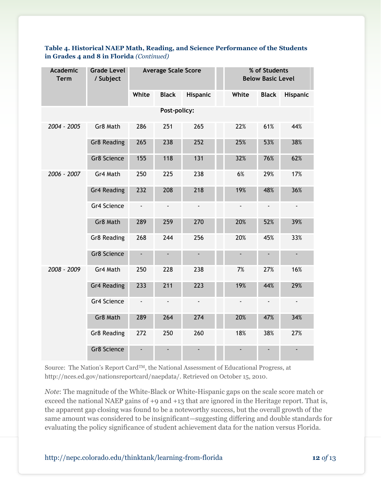| <b>Academic</b><br><b>Term</b> | <b>Grade Level</b><br>/ Subject | <b>Average Scale Score</b> |                          |                          |  | % of Students<br><b>Below Basic Level</b> |                |                          |  |
|--------------------------------|---------------------------------|----------------------------|--------------------------|--------------------------|--|-------------------------------------------|----------------|--------------------------|--|
|                                |                                 | White                      | <b>Black</b>             | Hispanic                 |  | White                                     | <b>Black</b>   | Hispanic                 |  |
|                                |                                 |                            | Post-policy:             |                          |  |                                           |                |                          |  |
| 2004 - 2005                    | Gr8 Math                        | 286                        | 251                      | 265                      |  | 22%                                       | 61%            | 44%                      |  |
|                                | <b>Gr8 Reading</b>              | 265                        | 238                      | 252                      |  | 25%                                       | 53%            | 38%                      |  |
|                                | Gr8 Science                     | 155                        | 118                      | 131                      |  | 32%                                       | 76%            | 62%                      |  |
| 2006 - 2007                    | Gr4 Math                        | 250                        | 225                      | 238                      |  | 6%                                        | 29%            | 17%                      |  |
|                                | Gr4 Reading                     | 232                        | 208                      | 218                      |  | 19%                                       | 48%            | 36%                      |  |
|                                | Gr4 Science                     |                            |                          |                          |  |                                           |                | $\blacksquare$           |  |
|                                | Gr8 Math                        | 289                        | 259                      | 270                      |  | 20%                                       | 52%            | 39%                      |  |
|                                | Gr8 Reading                     | 268                        | 244                      | 256                      |  | 20%                                       | 45%            | 33%                      |  |
|                                | Gr8 Science                     | ۰                          |                          | $\overline{\phantom{a}}$ |  |                                           |                | $\overline{\phantom{a}}$ |  |
| 2008 - 2009                    | Gr4 Math                        | 250                        | 228                      | 238                      |  | 7%                                        | 27%            | 16%                      |  |
|                                | <b>Gr4 Reading</b>              | 233                        | 211                      | 223                      |  | 19%                                       | 44%            | 29%                      |  |
|                                | Gr4 Science                     | ÷,                         | $\overline{\phantom{a}}$ | $\blacksquare$           |  | $\overline{\phantom{a}}$                  | $\blacksquare$ | $\blacksquare$           |  |
|                                | Gr8 Math                        | 289                        | 264                      | 274                      |  | 20%                                       | 47%            | 34%                      |  |
|                                | Gr8 Reading                     | 272                        | 250                      | 260                      |  | 18%                                       | 38%            | 27%                      |  |
|                                | Gr8 Science                     |                            |                          |                          |  |                                           |                |                          |  |

#### **Table 4. Historical NAEP Math, Reading, and Science Performance of the Students in Grades 4 and 8 in Florida** *(Continued)*

Source: The Nation's Report Card<sup>TM</sup>, the National Assessment of Educational Progress, at http://nces.ed.gov/nationsreportcard/naepdata/. Retrieved on October 15, 2010.

*Note*: The magnitude of the White-Black or White-Hispanic gaps on the scale score match or exceed the national NAEP gains of +9 and +13 that are ignored in the Heritage report. That is, the apparent gap closing was found to be a noteworthy success, but the overall growth of the same amount was considered to be insignificant—suggesting differing and double standards for evaluating the policy significance of student achievement data for the nation versus Florida.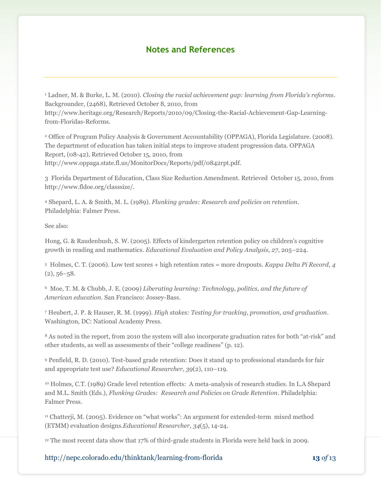### **Notes and References**

<sup>1</sup> Ladner, M. & Burke, L. M. (2010). *Closing the racial achievement gap: learning from Florida's reforms*. Backgrounder, (2468), Retrieved October 8, 2010, from http://www.heritage.org/Research/Reports/2010/09/Closing-the-Racial-Achievement-Gap-Learningfrom-Floridas-Reforms.

<sup>2</sup> Office of Program Policy Analysis & Government Accountability (OPPAGA), Florida Legislature. (2008). The department of education has taken initial steps to improve student progression data. OPPAGA Report, (08-42), Retrieved October 15, 2010, from http://www.oppaga.state.fl.us/MonitorDocs/Reports/pdf/0842rpt.pdf.

3 Florida Department of Education, Class Size Reduction Amendment. Retrieved October 15, 2010, from http://www.fldoe.org/classsize/.

<sup>4</sup> Shepard, L. A. & Smith, M. L. (1989). *Flunking grades: Research and policies on retention*. Philadelphia: Falmer Press.

See also:

Hong, G. & Raudenbush, S. W. (2005). Effects of kindergarten retention policy on children's cognitive growth in reading and mathematics. *Educational Evaluation and Policy Analysis, 27*, 205–224.

<sup>5</sup> Holmes, C. T. (2006). Low test scores + high retention rates = more dropouts. *Kappa Delta Pi Record*, *4*   $(2), 56 - 58.$ 

<sup>6</sup> Moe, T. M. & Chubb, J. E. (2009) *Liberating learning: Technology, politics, and the future of American education*. San Francisco: Jossey-Bass.

<sup>7</sup> Heubert, J. P. & Hauser, R. M. (1999). *High stakes: Testing for tracking, promotion, and graduation*. Washington, DC: National Academy Press.

<sup>8</sup> As noted in the report, from 2010 the system will also incorporate graduation rates for both "at-risk" and other students, as well as assessments of their "college readiness" (p. 12).

<sup>9</sup> Penfield, R. D. (2010). Test-based grade retention: Does it stand up to professional standards for fair and appropriate test use? *Educational Researcher*, *39*(2), 110–119.

<sup>10</sup> Holmes, C.T. (1989) Grade level retention effects: A meta-analysis of research studies. In L.A Shepard and M.L. Smith (Eds.), *Flunking Grades: Research and Policies on Grade Retention*. Philadelphia: Falmer Press.

<sup>11</sup> Chatterji, M. (2005). Evidence on "what works": An argument for extended-term mixed method (ETMM) evaluation designs.*Educational Researcher, 34*(5), 14-24.

<sup>12</sup> The most recent data show that 17% of third-grade students in Florida were held back in 2009.

http://nepc.colorado.edu/thinktank/learning-from-florida **13** *of* 13